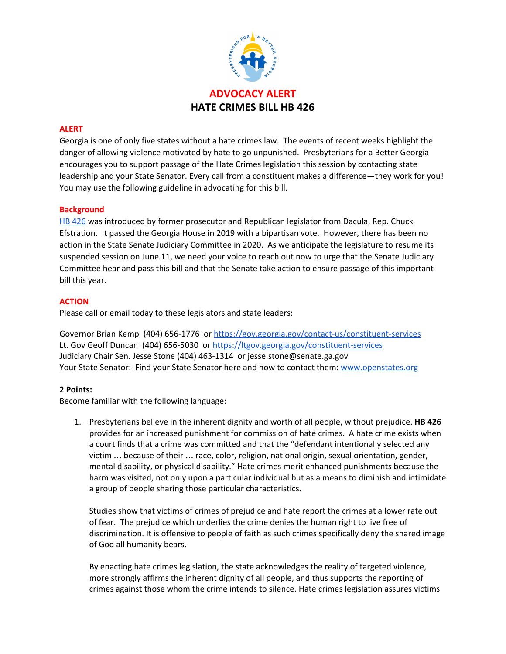

### **ALERT**

Georgia is one of only five states without a hate crimes law. The events of recent weeks highlight the danger of allowing violence motivated by hate to go unpunished. Presbyterians for a Better Georgia encourages you to support passage of the Hate Crimes legislation this session by contacting state leadership and your State Senator. Every call from a constituent makes a difference—they work for you! You may use the following guideline in advocating for this bill.

#### **Background**

HB [426](http://www.legis.ga.gov/legislation/en-US/Display/20192020/HB/426) was introduced by former prosecutor and Republican legislator from Dacula, Rep. Chuck Efstration. It passed the Georgia House in 2019 with a bipartisan vote. However, there has been no action in the State Senate Judiciary Committee in 2020. As we anticipate the legislature to resume its suspended session on June 11, we need your voice to reach out now to urge that the Senate Judiciary Committee hear and pass this bill and that the Senate take action to ensure passage of this important bill this year.

#### **ACTION**

Please call or email today to these legislators and state leaders:

Gove[r](https://gov.georgia.gov/contact-us/constituent-services)nor Brian Kemp (404) 656-1776 or <https://gov.georgia.gov/contact-us/constituent-services> Lt. Gov Geoff Duncan (404) 656-5030 or <https://ltgov.georgia.gov/constituent-services> Judiciary Chair Sen. Jesse Stone (404) 463-1314 or jesse.stone@senate.ga.gov Your State Senator: Find your State Senator here and how to contact them: [www.openstates.org](http://www.openstates.org/)

#### **2 Points:**

Become familiar with the following language:

1. Presbyterians believe in the inherent dignity and worth of all people, without prejudice. **HB 426** provides for an increased punishment for commission of hate crimes. A hate crime exists when a court finds that a crime was committed and that the "defendant intentionally selected any victim … because of their … race, color, religion, national origin, sexual orientation, gender, mental disability, or physical disability." Hate crimes merit enhanced punishments because the harm was visited, not only upon a particular individual but as a means to diminish and intimidate a group of people sharing those particular characteristics.

Studies show that victims of crimes of prejudice and hate report the crimes at a lower rate out of fear. The prejudice which underlies the crime denies the human right to live free of discrimination. It is offensive to people of faith as such crimes specifically deny the shared image of God all humanity bears.

By enacting hate crimes legislation, the state acknowledges the reality of targeted violence, more strongly affirms the inherent dignity of all people, and thus supports the reporting of crimes against those whom the crime intends to silence. Hate crimes legislation assures victims